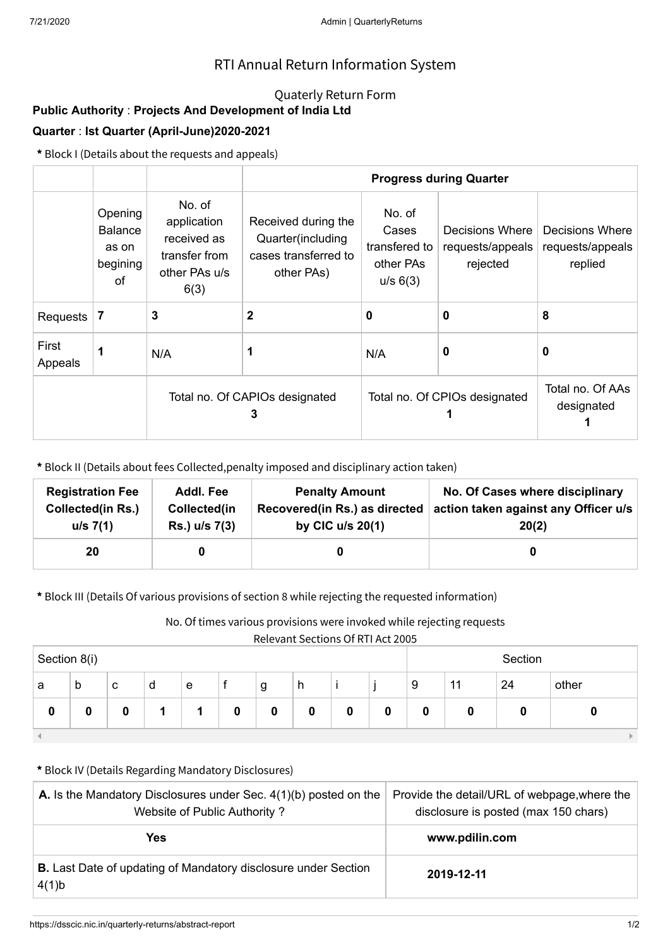## RTI Annual Return Information System

### Quaterly Return Form

# **Public Authority** : **Projects And Development of India Ltd**

### **Quarter** : **Ist Quarter (April-June)2020-2021**

**\*** Block I (Details about the requests and appeals)

|                  |                                                      |                                                                                | <b>Progress during Quarter</b>                                                 |                                                           |                                                 |                                                |  |  |  |
|------------------|------------------------------------------------------|--------------------------------------------------------------------------------|--------------------------------------------------------------------------------|-----------------------------------------------------------|-------------------------------------------------|------------------------------------------------|--|--|--|
|                  | Opening<br><b>Balance</b><br>as on<br>begining<br>οf | No. of<br>application<br>received as<br>transfer from<br>other PAs u/s<br>6(3) | Received during the<br>Quarter(including<br>cases transferred to<br>other PAs) | No. of<br>Cases<br>transfered to<br>other PAs<br>u/s 6(3) | Decisions Where<br>requests/appeals<br>rejected | Decisions Where<br>requests/appeals<br>replied |  |  |  |
| Requests         | 7                                                    | 3                                                                              | $\mathbf{2}$                                                                   | 0                                                         | $\bf{0}$                                        | 8                                              |  |  |  |
| First<br>Appeals | 1                                                    | N/A                                                                            | 1                                                                              | N/A                                                       | 0                                               | 0                                              |  |  |  |
|                  |                                                      |                                                                                | Total no. Of CAPIOs designated<br>3                                            | Total no. Of CPIOs designated                             | Total no. Of AAs<br>designated                  |                                                |  |  |  |

**\*** Block II (Details about fees Collected,penalty imposed and disciplinary action taken)

| <b>Registration Fee</b> | Addl. Fee     | <b>Penalty Amount</b>         | No. Of Cases where disciplinary      |
|-------------------------|---------------|-------------------------------|--------------------------------------|
| Collected(in Rs.)       | Collected(in  | Recovered(in Rs.) as directed | action taken against any Officer u/s |
| u/s 7(1)                | Rs.) u/s 7(3) | by CIC $u/s$ 20(1)            | 20(2)                                |
| 20                      |               |                               |                                      |

**\*** Block III (Details Of various provisions of section 8 while rejecting the requested information)

No. Of times various provisions were invoked while rejecting requests

Relevant Sections Of RTI Act 2005

| .<br>___<br>__<br>___<br>Section 8(i) |             |   |   |   |   | Section |   |   |   |   |    |    |       |
|---------------------------------------|-------------|---|---|---|---|---------|---|---|---|---|----|----|-------|
| a                                     | $\mathsf b$ | C | d | e |   | g       | h |   |   | 9 | 11 | 24 | other |
| 0                                     |             | 0 |   |   | 0 | 0       | 0 | 0 | 0 | 0 | 0  | 0  |       |
|                                       |             |   |   |   |   |         |   |   |   |   |    |    |       |

#### **\*** Block IV (Details Regarding Mandatory Disclosures)

| <b>A.</b> Is the Mandatory Disclosures under Sec. $4(1)(b)$ posted on the<br>Website of Public Authority? | Provide the detail/URL of webpage, where the<br>disclosure is posted (max 150 chars) |  |  |
|-----------------------------------------------------------------------------------------------------------|--------------------------------------------------------------------------------------|--|--|
| Yes                                                                                                       | www.pdilin.com                                                                       |  |  |
| <b>B.</b> Last Date of updating of Mandatory disclosure under Section<br>4(1)b                            | 2019-12-11                                                                           |  |  |